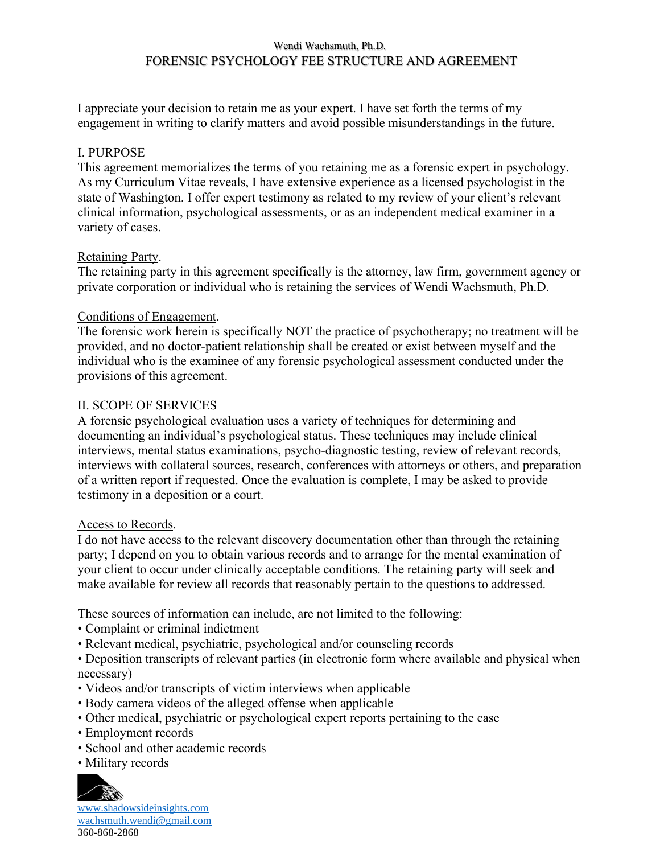## Wendi Wachsmuth, Ph.D. FORENSIC PSYCHOLOGY FEE STRUCTURE AND AGREEMENT

I appreciate your decision to retain me as your expert. I have set forth the terms of my engagement in writing to clarify matters and avoid possible misunderstandings in the future.

## I. PURPOSE

This agreement memorializes the terms of you retaining me as a forensic expert in psychology. As my Curriculum Vitae reveals, I have extensive experience as a licensed psychologist in the state of Washington. I offer expert testimony as related to my review of your client's relevant clinical information, psychological assessments, or as an independent medical examiner in a variety of cases.

### Retaining Party.

The retaining party in this agreement specifically is the attorney, law firm, government agency or private corporation or individual who is retaining the services of Wendi Wachsmuth, Ph.D.

### Conditions of Engagement.

The forensic work herein is specifically NOT the practice of psychotherapy; no treatment will be provided, and no doctor-patient relationship shall be created or exist between myself and the individual who is the examinee of any forensic psychological assessment conducted under the provisions of this agreement.

### II. SCOPE OF SERVICES

A forensic psychological evaluation uses a variety of techniques for determining and documenting an individual's psychological status. These techniques may include clinical interviews, mental status examinations, psycho-diagnostic testing, review of relevant records, interviews with collateral sources, research, conferences with attorneys or others, and preparation of a written report if requested. Once the evaluation is complete, I may be asked to provide testimony in a deposition or a court.

#### Access to Records.

I do not have access to the relevant discovery documentation other than through the retaining party; I depend on you to obtain various records and to arrange for the mental examination of your client to occur under clinically acceptable conditions. The retaining party will seek and make available for review all records that reasonably pertain to the questions to addressed.

These sources of information can include, are not limited to the following:

- Complaint or criminal indictment
- Relevant medical, psychiatric, psychological and/or counseling records
- Deposition transcripts of relevant parties (in electronic form where available and physical when necessary)
- Videos and/or transcripts of victim interviews when applicable
- Body camera videos of the alleged offense when applicable
- Other medical, psychiatric or psychological expert reports pertaining to the case
- Employment records
- School and other academic records
- Military records



[www.shadowsideinsights.com](http://www.shadowsideinsights.com/) [wachsmuth.wendi@gmail.com](mailto:wachsmuth.wendi@gmail.com) 360-868-2868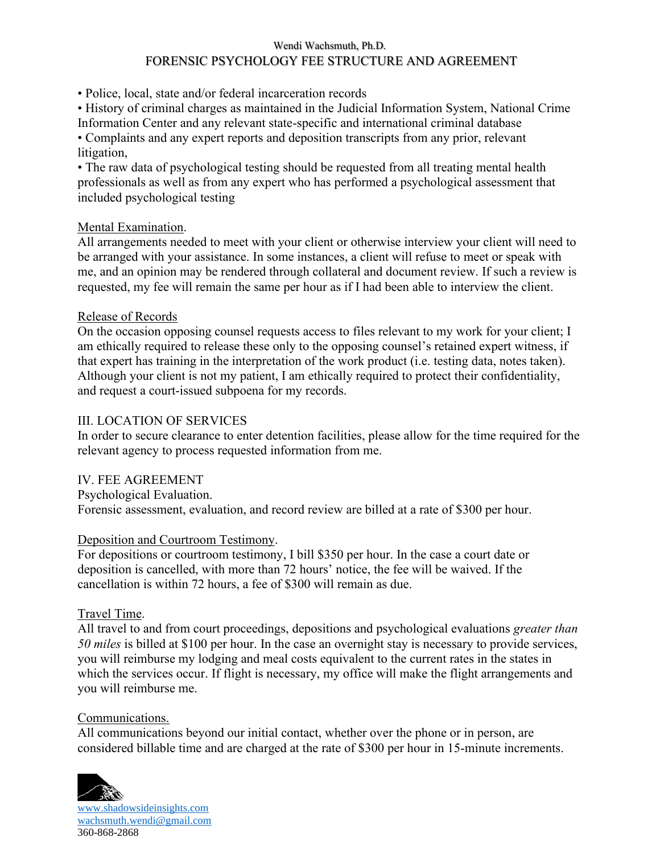#### Wendi Wachsmuth, Ph.D.

# FORENSIC PSYCHOLOGY FEE STRUCTURE AND AGREEMENT

• Police, local, state and/or federal incarceration records

• History of criminal charges as maintained in the Judicial Information System, National Crime Information Center and any relevant state-specific and international criminal database

• Complaints and any expert reports and deposition transcripts from any prior, relevant litigation,

• The raw data of psychological testing should be requested from all treating mental health professionals as well as from any expert who has performed a psychological assessment that included psychological testing

## Mental Examination.

All arrangements needed to meet with your client or otherwise interview your client will need to be arranged with your assistance. In some instances, a client will refuse to meet or speak with me, and an opinion may be rendered through collateral and document review. If such a review is requested, my fee will remain the same per hour as if I had been able to interview the client.

### Release of Records

On the occasion opposing counsel requests access to files relevant to my work for your client; I am ethically required to release these only to the opposing counsel's retained expert witness, if that expert has training in the interpretation of the work product (i.e. testing data, notes taken). Although your client is not my patient, I am ethically required to protect their confidentiality, and request a court-issued subpoena for my records.

## III. LOCATION OF SERVICES

In order to secure clearance to enter detention facilities, please allow for the time required for the relevant agency to process requested information from me.

## IV. FEE AGREEMENT

Psychological Evaluation. Forensic assessment, evaluation, and record review are billed at a rate of \$300 per hour.

## Deposition and Courtroom Testimony.

For depositions or courtroom testimony, I bill \$350 per hour. In the case a court date or deposition is cancelled, with more than 72 hours' notice, the fee will be waived. If the cancellation is within 72 hours, a fee of \$300 will remain as due.

## Travel Time.

All travel to and from court proceedings, depositions and psychological evaluations *greater than 50 miles* is billed at \$100 per hour. In the case an overnight stay is necessary to provide services, you will reimburse my lodging and meal costs equivalent to the current rates in the states in which the services occur. If flight is necessary, my office will make the flight arrangements and you will reimburse me.

#### Communications.

All communications beyond our initial contact, whether over the phone or in person, are considered billable time and are charged at the rate of \$300 per hour in 15-minute increments.



[www.shadowsideinsights.com](http://www.shadowsideinsights.com/) [wachsmuth.wendi@gmail.com](mailto:wachsmuth.wendi@gmail.com) 360-868-2868